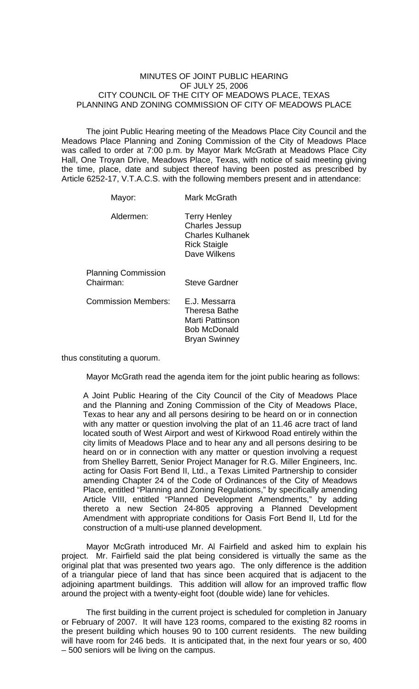## MINUTES OF JOINT PUBLIC HEARING OF JULY 25, 2006 CITY COUNCIL OF THE CITY OF MEADOWS PLACE, TEXAS PLANNING AND ZONING COMMISSION OF CITY OF MEADOWS PLACE

The joint Public Hearing meeting of the Meadows Place City Council and the Meadows Place Planning and Zoning Commission of the City of Meadows Place was called to order at 7:00 p.m. by Mayor Mark McGrath at Meadows Place City Hall, One Troyan Drive, Meadows Place, Texas, with notice of said meeting giving the time, place, date and subject thereof having been posted as prescribed by Article 6252-17, V.T.A.C.S. with the following members present and in attendance:

| <b>Mark McGrath</b>                                                                                     |
|---------------------------------------------------------------------------------------------------------|
| <b>Terry Henley</b><br><b>Charles Jessup</b><br>Charles Kulhanek<br><b>Rick Staigle</b><br>Dave Wilkens |
| <b>Steve Gardner</b>                                                                                    |
| E.J. Messarra<br>Theresa Bathe<br>Marti Pattinson<br>Bob McDonald<br><b>Bryan Swinney</b>               |
|                                                                                                         |

thus constituting a quorum.

Mayor McGrath read the agenda item for the joint public hearing as follows:

A Joint Public Hearing of the City Council of the City of Meadows Place and the Planning and Zoning Commission of the City of Meadows Place, Texas to hear any and all persons desiring to be heard on or in connection with any matter or question involving the plat of an 11.46 acre tract of land located south of West Airport and west of Kirkwood Road entirely within the city limits of Meadows Place and to hear any and all persons desiring to be heard on or in connection with any matter or question involving a request from Shelley Barrett, Senior Project Manager for R.G. Miller Engineers, Inc. acting for Oasis Fort Bend II, Ltd., a Texas Limited Partnership to consider amending Chapter 24 of the Code of Ordinances of the City of Meadows Place, entitled "Planning and Zoning Regulations," by specifically amending Article VIII, entitled "Planned Development Amendments," by adding thereto a new Section 24-805 approving a Planned Development Amendment with appropriate conditions for Oasis Fort Bend II, Ltd for the construction of a multi-use planned development.

 Mayor McGrath introduced Mr. Al Fairfield and asked him to explain his project. Mr. Fairfield said the plat being considered is virtually the same as the original plat that was presented two years ago. The only difference is the addition of a triangular piece of land that has since been acquired that is adjacent to the adjoining apartment buildings. This addition will allow for an improved traffic flow around the project with a twenty-eight foot (double wide) lane for vehicles.

 The first building in the current project is scheduled for completion in January or February of 2007. It will have 123 rooms, compared to the existing 82 rooms in the present building which houses 90 to 100 current residents. The new building will have room for 246 beds. It is anticipated that, in the next four years or so, 400 – 500 seniors will be living on the campus.